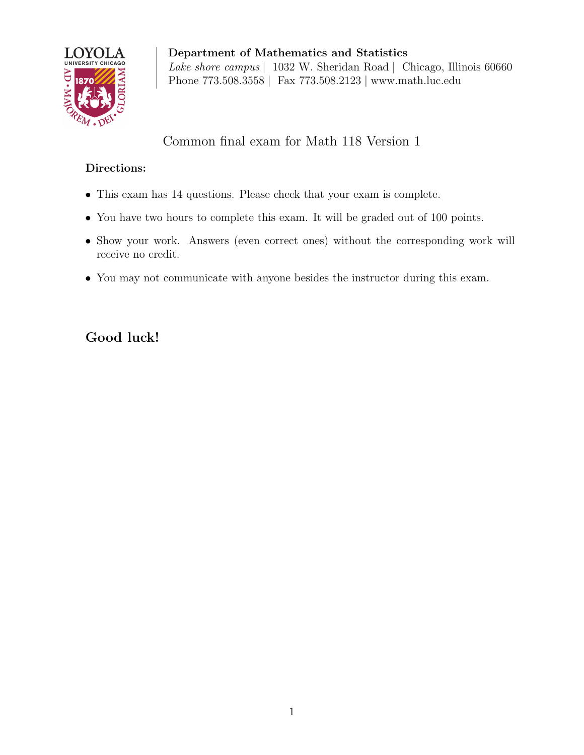

Department of Mathematics and Statistics Lake shore campus | 1032 W. Sheridan Road | Chicago, Illinois 60660 Phone 773.508.3558 | Fax 773.508.2123 | www.math.luc.edu

## Common final exam for Math 118 Version 1

## Directions:

- This exam has 14 questions. Please check that your exam is complete.
- You have two hours to complete this exam. It will be graded out of 100 points.
- Show your work. Answers (even correct ones) without the corresponding work will receive no credit.
- You may not communicate with anyone besides the instructor during this exam.

## Good luck!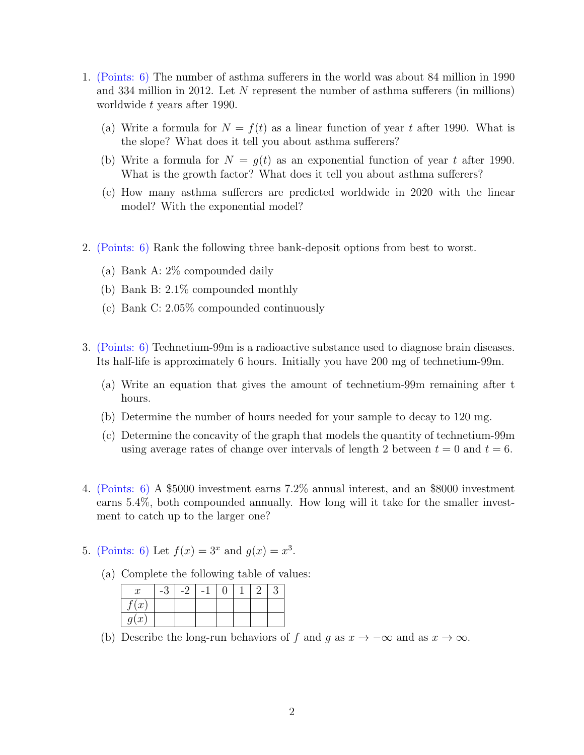- 1. (Points: 6) The number of asthma sufferers in the world was about 84 million in 1990 and 334 million in 2012. Let N represent the number of asthma sufferers (in millions) worldwide t years after 1990.
	- (a) Write a formula for  $N = f(t)$  as a linear function of year t after 1990. What is the slope? What does it tell you about asthma sufferers?
	- (b) Write a formula for  $N = q(t)$  as an exponential function of year t after 1990. What is the growth factor? What does it tell you about asthma sufferers?
	- (c) How many asthma sufferers are predicted worldwide in 2020 with the linear model? With the exponential model?
- 2. (Points: 6) Rank the following three bank-deposit options from best to worst.
	- (a) Bank A: 2% compounded daily
	- (b) Bank B: 2.1% compounded monthly
	- (c) Bank C: 2.05% compounded continuously
- 3. (Points: 6) Technetium-99m is a radioactive substance used to diagnose brain diseases. Its half-life is approximately 6 hours. Initially you have 200 mg of technetium-99m.
	- (a) Write an equation that gives the amount of technetium-99m remaining after t hours.
	- (b) Determine the number of hours needed for your sample to decay to 120 mg.
	- (c) Determine the concavity of the graph that models the quantity of technetium-99m using average rates of change over intervals of length 2 between  $t = 0$  and  $t = 6$ .
- 4. (Points: 6) A \$5000 investment earns 7.2% annual interest, and an \$8000 investment earns 5.4%, both compounded annually. How long will it take for the smaller investment to catch up to the larger one?
- 5. (Points: 6) Let  $f(x) = 3^x$  and  $g(x) = x^3$ .
	- (a) Complete the following table of values:

| $\cdot x$         | $-$ . | - |  |  |
|-------------------|-------|---|--|--|
| (x <sup>2</sup> ) |       |   |  |  |
| g(x)              |       |   |  |  |

(b) Describe the long-run behaviors of f and g as  $x \to -\infty$  and as  $x \to \infty$ .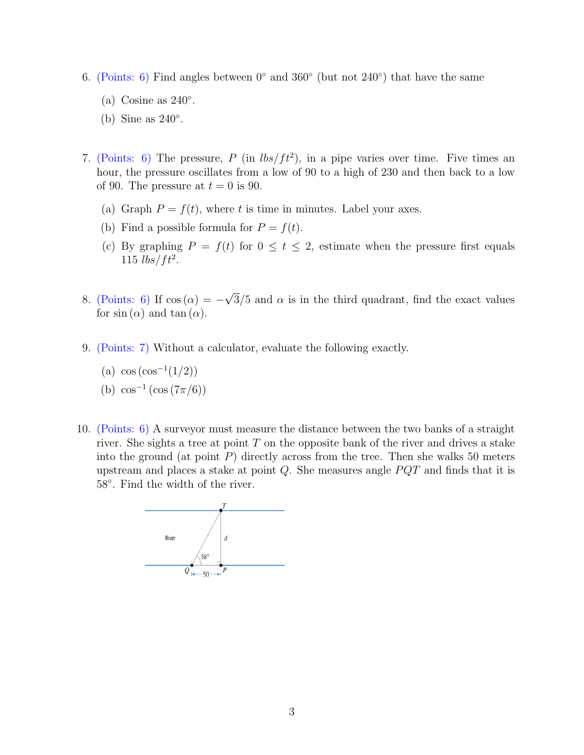- 6. (Points: 6) Find angles between  $0^{\circ}$  and  $360^{\circ}$  (but not  $240^{\circ}$ ) that have the same
	- (a) Cosine as  $240^\circ$ .
	- (b) Sine as 240◦ .
- 7. (Points: 6) The pressure, P (in  $lbs/ft^2$ ), in a pipe varies over time. Five times an hour, the pressure oscillates from a low of 90 to a high of 230 and then back to a low of 90. The pressure at  $t = 0$  is 90.
	- (a) Graph  $P = f(t)$ , where t is time in minutes. Label your axes.
	- (b) Find a possible formula for  $P = f(t)$ .
	- (c) By graphing  $P = f(t)$  for  $0 \le t \le 2$ , estimate when the pressure first equals 115  $lbs/ft^2$ .
- 8. (Points: 6) If  $\cos(\alpha) = -$ √  $3/5$  and  $\alpha$  is in the third quadrant, find the exact values for  $sin(\alpha)$  and  $tan(\alpha)$ .
- 9. (Points: 7) Without a calculator, evaluate the following exactly.
	- (a)  $\cos(\cos^{-1}(1/2))$
	- (b)  $\cos^{-1}(\cos(7\pi/6))$
- 10. (Points: 6) A surveyor must measure the distance between the two banks of a straight river. She sights a tree at point  $T$  on the opposite bank of the river and drives a stake into the ground (at point  $P$ ) directly across from the tree. Then she walks 50 meters upstream and places a stake at point  $Q$ . She measures angle  $PQT$  and finds that it is 58◦ . Find the width of the river.